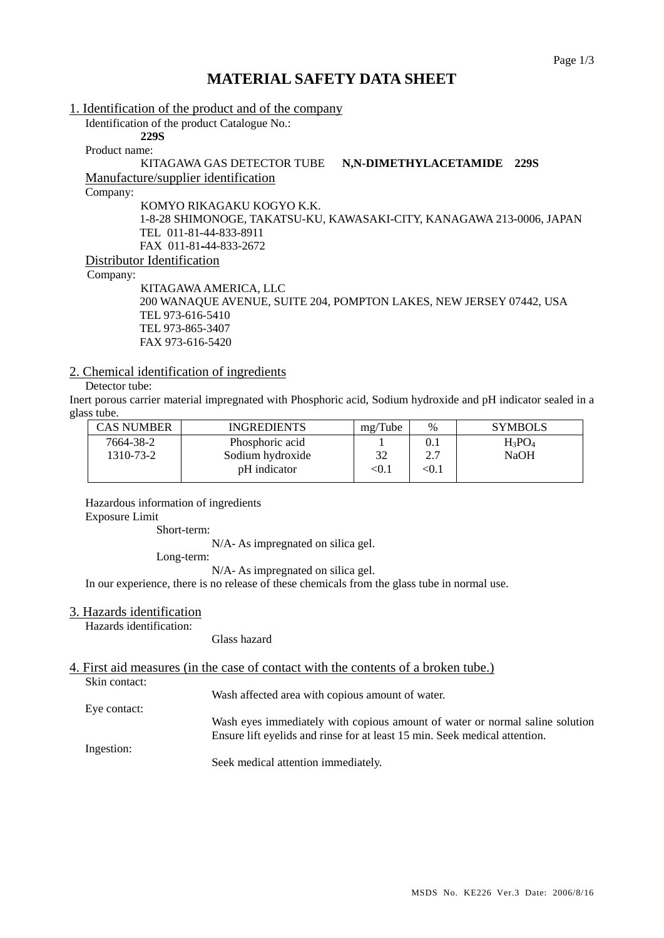# **MATERIAL SAFETY DATA SHEET**

1. Identification of the product and of the company

Identification of the product Catalogue No.: **229S** 

Product name:

### KITAGAWA GAS DETECTOR TUBE **N,N-DIMETHYLACETAMIDE 229S** Manufacture/supplier identification

Company:

KOMYO RIKAGAKU KOGYO K.K. 1-8-28 SHIMONOGE, TAKATSU-KU, KAWASAKI-CITY, KANAGAWA 213-0006, JAPAN TEL 011-81-44-833-8911 FAX 011-81-44-833-2672 Distributor Identification

Company:

KITAGAWA AMERICA, LLC 200 WANAQUE AVENUE, SUITE 204, POMPTON LAKES, NEW JERSEY 07442, USA TEL 973-616-5410 TEL 973-865-3407 FAX 973-616-5420

### 2. Chemical identification of ingredients

### Detector tube:

Inert porous carrier material impregnated with Phosphoric acid, Sodium hydroxide and pH indicator sealed in a glass tube.

| <b>CAS NUMBER</b> | <b>INGREDIENTS</b> | mg/Tube | $\%$    | <b>SYMBOLS</b> |
|-------------------|--------------------|---------|---------|----------------|
| 7664-38-2         | Phosphoric acid    |         | $0.1\,$ | $H_3PO_4$      |
| 1310-73-2         | Sodium hydroxide   | 32      | ר ר     | <b>NaOH</b>    |
|                   | pH indicator       | $<$ 0.1 | < 0.1   |                |
|                   |                    |         |         |                |

Hazardous information of ingredients

Exposure Limit

Short-term:

N/A- As impregnated on silica gel.

Long-term:

N/A- As impregnated on silica gel.

In our experience, there is no release of these chemicals from the glass tube in normal use.

#### 3. Hazards identification

Hazards identification:

Glass hazard

## 4. First aid measures (in the case of contact with the contents of a broken tube.)

Skin contact:

Wash affected area with copious amount of water.

Eye contact: Wash eyes immediately with copious amount of water or normal saline solution Ensure lift eyelids and rinse for at least 15 min. Seek medical attention.

Ingestion:

Seek medical attention immediately.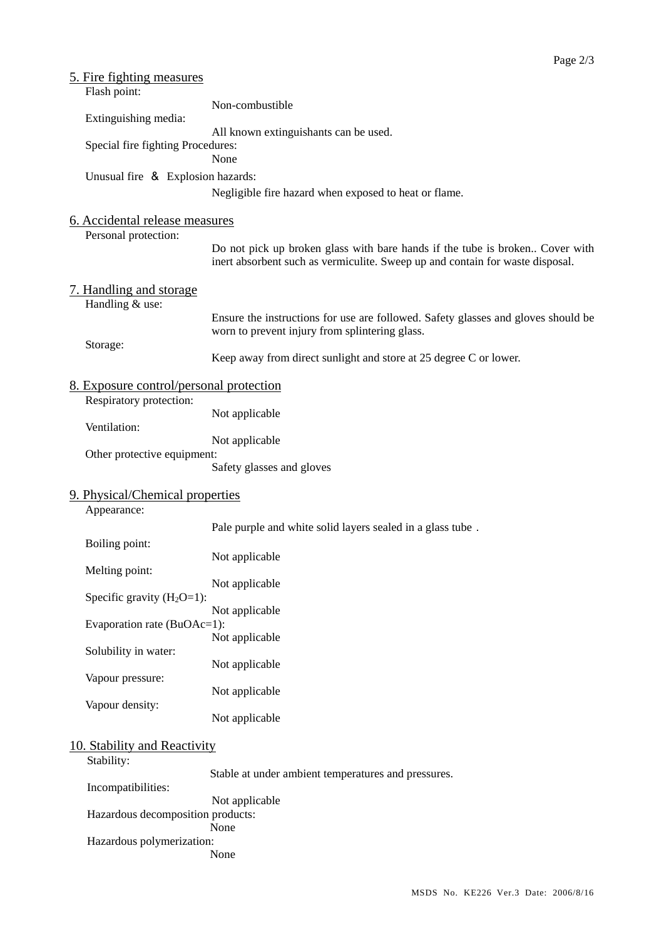| <u>5. Fire fighting measures</u>           |                                                                                                                                                               |
|--------------------------------------------|---------------------------------------------------------------------------------------------------------------------------------------------------------------|
| Flash point:                               |                                                                                                                                                               |
| Extinguishing media:                       | Non-combustible                                                                                                                                               |
|                                            | All known extinguishants can be used.                                                                                                                         |
| Special fire fighting Procedures:          | None                                                                                                                                                          |
| Unusual fire & Explosion hazards:          |                                                                                                                                                               |
|                                            | Negligible fire hazard when exposed to heat or flame.                                                                                                         |
| 6. Accidental release measures             |                                                                                                                                                               |
| Personal protection:                       |                                                                                                                                                               |
|                                            | Do not pick up broken glass with bare hands if the tube is broken Cover with<br>inert absorbent such as vermiculite. Sweep up and contain for waste disposal. |
| 7. Handling and storage<br>Handling & use: |                                                                                                                                                               |
|                                            | Ensure the instructions for use are followed. Safety glasses and gloves should be<br>worn to prevent injury from splintering glass.                           |
| Storage:                                   |                                                                                                                                                               |
|                                            | Keep away from direct sunlight and store at 25 degree C or lower.                                                                                             |
| 8. Exposure control/personal protection    |                                                                                                                                                               |
| Respiratory protection:                    |                                                                                                                                                               |
| Ventilation:                               | Not applicable                                                                                                                                                |
|                                            | Not applicable                                                                                                                                                |
| Other protective equipment:                |                                                                                                                                                               |
|                                            | Safety glasses and gloves                                                                                                                                     |
| 9. Physical/Chemical properties            |                                                                                                                                                               |
| Appearance:                                |                                                                                                                                                               |
|                                            | Pale purple and white solid layers sealed in a glass tube.                                                                                                    |
| Boiling point:                             | Not applicable                                                                                                                                                |
| Melting point:                             |                                                                                                                                                               |
|                                            | Not applicable                                                                                                                                                |
| Specific gravity $(H_2O=1)$ :              | Not applicable                                                                                                                                                |
| Evaporation rate (BuOAc=1):                |                                                                                                                                                               |
|                                            | Not applicable                                                                                                                                                |
| Solubility in water:                       | Not applicable                                                                                                                                                |
| Vapour pressure:                           |                                                                                                                                                               |
|                                            | Not applicable                                                                                                                                                |
| Vapour density:                            | Not applicable                                                                                                                                                |
| 10. Stability and Reactivity               |                                                                                                                                                               |
| Stability:                                 |                                                                                                                                                               |
| Incompatibilities:                         | Stable at under ambient temperatures and pressures.                                                                                                           |
|                                            | Not applicable                                                                                                                                                |
| Hazardous decomposition products:          |                                                                                                                                                               |
| Hazardous polymerization:                  | None                                                                                                                                                          |

None